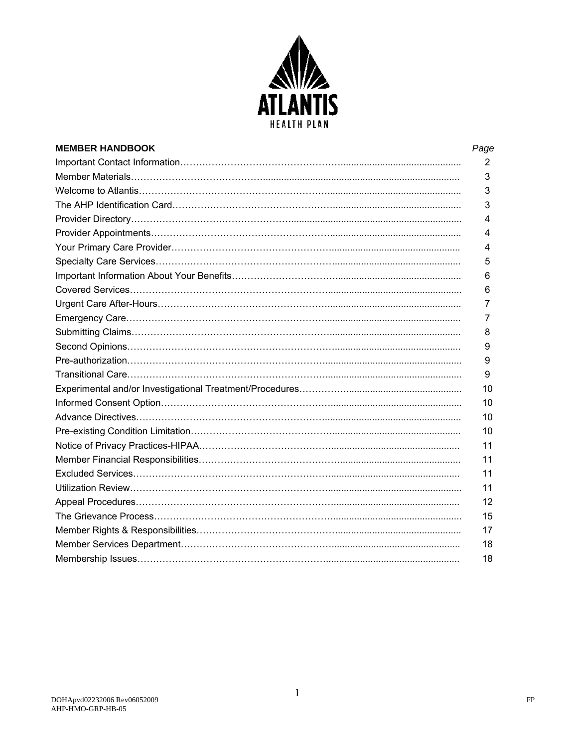

| <b>MEMBER HANDBOOK</b> | Page |
|------------------------|------|
|                        | 2    |
|                        | 3    |
|                        | 3    |
|                        | 3    |
|                        | 4    |
|                        | 4    |
|                        | 4    |
|                        | 5    |
|                        | 6    |
|                        | 6    |
|                        | 7    |
|                        | 7    |
|                        | 8    |
|                        | 9    |
|                        | 9    |
|                        | 9    |
|                        | 10   |
|                        | 10   |
|                        | 10   |
|                        | 10   |
|                        | 11   |
|                        | 11   |
|                        | 11   |
|                        | 11   |
|                        | 12   |
|                        | 15   |
|                        | 17   |
|                        | 18   |
|                        | 18   |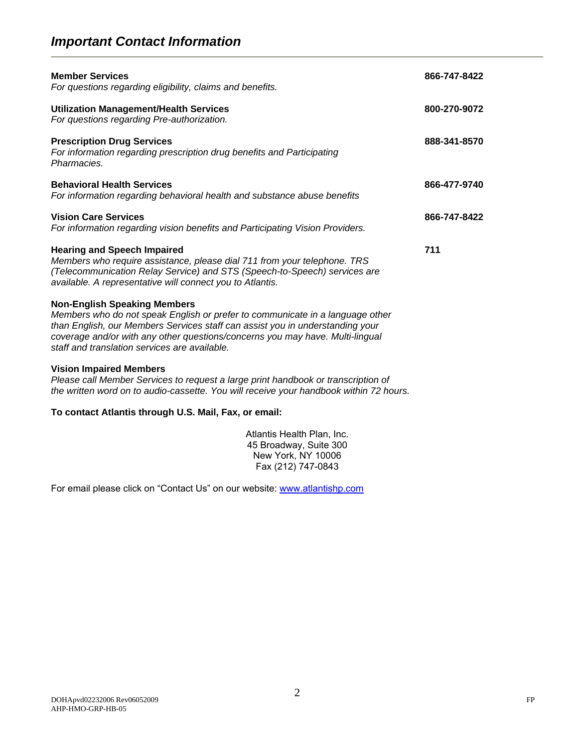# *Important Contact Information*

| <b>Member Services</b><br>For questions regarding eligibility, claims and benefits.                                                                                                                                                                                                                                                     | 866-747-8422 |
|-----------------------------------------------------------------------------------------------------------------------------------------------------------------------------------------------------------------------------------------------------------------------------------------------------------------------------------------|--------------|
| <b>Utilization Management/Health Services</b><br>For questions regarding Pre-authorization.                                                                                                                                                                                                                                             | 800-270-9072 |
| <b>Prescription Drug Services</b><br>For information regarding prescription drug benefits and Participating<br>Pharmacies.                                                                                                                                                                                                              | 888-341-8570 |
| <b>Behavioral Health Services</b><br>For information regarding behavioral health and substance abuse benefits                                                                                                                                                                                                                           | 866-477-9740 |
| <b>Vision Care Services</b><br>For information regarding vision benefits and Participating Vision Providers.                                                                                                                                                                                                                            | 866-747-8422 |
| <b>Hearing and Speech Impaired</b><br>Members who require assistance, please dial 711 from your telephone. TRS<br>(Telecommunication Relay Service) and STS (Speech-to-Speech) services are<br>available. A representative will connect you to Atlantis.                                                                                | 711          |
| <b>Non-English Speaking Members</b><br>Members who do not speak English or prefer to communicate in a language other<br>than English, our Members Services staff can assist you in understanding your<br>coverage and/or with any other questions/concerns you may have. Multi-lingual<br>staff and translation services are available. |              |
| <b>Vision Impaired Members</b><br>Please call Member Services to request a large print handbook or transcription of<br>the written word on to audio-cassette. You will receive your handbook within 72 hours.                                                                                                                           |              |
| To contact Atlantis through U.S. Mail, Fax, or email:                                                                                                                                                                                                                                                                                   |              |
| Atlantis Health Plan, Inc.<br>45 Rroadway, Suite 300                                                                                                                                                                                                                                                                                    |              |

45 Broadway, Suite 300 New York, NY 10006 Fax (212) 747-0843

For email please click on "Contact Us" on our website: www.atlantishp.com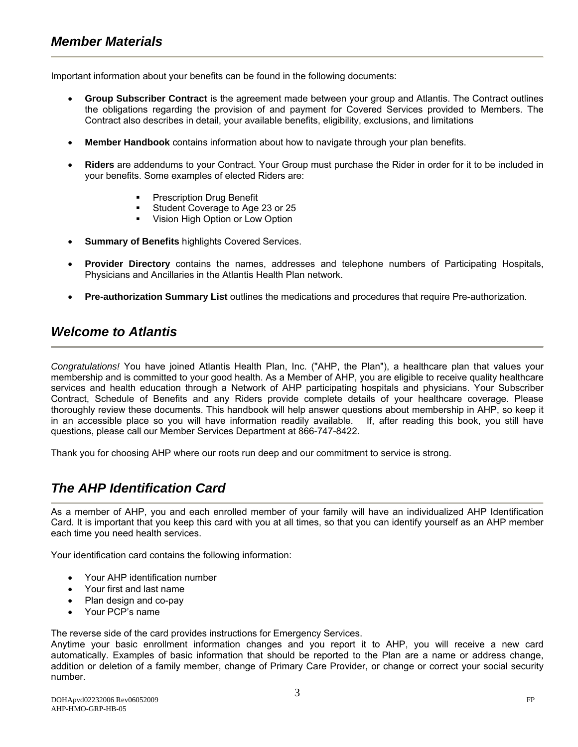Important information about your benefits can be found in the following documents:

- **Group Subscriber Contract** is the agreement made between your group and Atlantis. The Contract outlines the obligations regarding the provision of and payment for Covered Services provided to Members. The Contract also describes in detail, your available benefits, eligibility, exclusions, and limitations
- **Member Handbook** contains information about how to navigate through your plan benefits.
- **Riders** are addendums to your Contract. Your Group must purchase the Rider in order for it to be included in your benefits. Some examples of elected Riders are:
	- Prescription Drug Benefit
	- Student Coverage to Age 23 or 25
	- Vision High Option or Low Option
- **Summary of Benefits highlights Covered Services.**
- **Provider Directory** contains the names, addresses and telephone numbers of Participating Hospitals, Physicians and Ancillaries in the Atlantis Health Plan network.
- **Pre-authorization Summary List** outlines the medications and procedures that require Pre-authorization.

## *Welcome to Atlantis*

*Congratulations!* You have joined Atlantis Health Plan, Inc. ("AHP, the Plan"), a healthcare plan that values your membership and is committed to your good health. As a Member of AHP, you are eligible to receive quality healthcare services and health education through a Network of AHP participating hospitals and physicians. Your Subscriber Contract, Schedule of Benefits and any Riders provide complete details of your healthcare coverage. Please thoroughly review these documents. This handbook will help answer questions about membership in AHP, so keep it in an accessible place so you will have information readily available. If, after reading this book, you still have questions, please call our Member Services Department at 866-747-8422.

Thank you for choosing AHP where our roots run deep and our commitment to service is strong.

## *The AHP Identification Card*

As a member of AHP, you and each enrolled member of your family will have an individualized AHP Identification Card. It is important that you keep this card with you at all times, so that you can identify yourself as an AHP member each time you need health services.

Your identification card contains the following information:

- Your AHP identification number
- Your first and last name
- Plan design and co-pay
- Your PCP's name

The reverse side of the card provides instructions for Emergency Services.

Anytime your basic enrollment information changes and you report it to AHP, you will receive a new card automatically. Examples of basic information that should be reported to the Plan are a name or address change, addition or deletion of a family member, change of Primary Care Provider, or change or correct your social security number.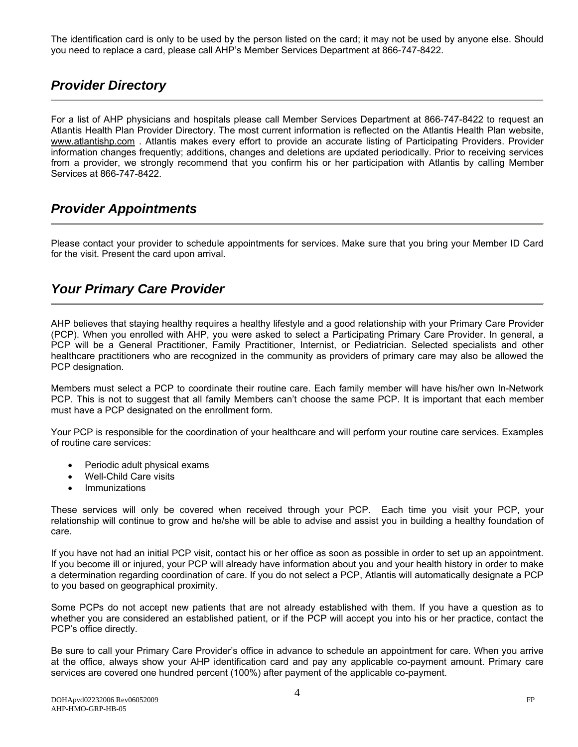The identification card is only to be used by the person listed on the card; it may not be used by anyone else. Should you need to replace a card, please call AHP's Member Services Department at 866-747-8422.

## *Provider Directory*

For a list of AHP physicians and hospitals please call Member Services Department at 866-747-8422 to request an Atlantis Health Plan Provider Directory. The most current information is reflected on the Atlantis Health Plan website, www.atlantishp.com . Atlantis makes every effort to provide an accurate listing of Participating Providers. Provider information changes frequently; additions, changes and deletions are updated periodically. Prior to receiving services from a provider, we strongly recommend that you confirm his or her participation with Atlantis by calling Member Services at 866-747-8422.

## *Provider Appointments*

Please contact your provider to schedule appointments for services. Make sure that you bring your Member ID Card for the visit. Present the card upon arrival.

## *Your Primary Care Provider*

AHP believes that staying healthy requires a healthy lifestyle and a good relationship with your Primary Care Provider (PCP). When you enrolled with AHP, you were asked to select a Participating Primary Care Provider. In general, a PCP will be a General Practitioner, Family Practitioner, Internist, or Pediatrician. Selected specialists and other healthcare practitioners who are recognized in the community as providers of primary care may also be allowed the PCP designation.

Members must select a PCP to coordinate their routine care. Each family member will have his/her own In-Network PCP. This is not to suggest that all family Members can't choose the same PCP. It is important that each member must have a PCP designated on the enrollment form.

Your PCP is responsible for the coordination of your healthcare and will perform your routine care services. Examples of routine care services:

- Periodic adult physical exams
- Well-Child Care visits
- **Immunizations**

These services will only be covered when received through your PCP. Each time you visit your PCP, your relationship will continue to grow and he/she will be able to advise and assist you in building a healthy foundation of care.

If you have not had an initial PCP visit, contact his or her office as soon as possible in order to set up an appointment. If you become ill or injured, your PCP will already have information about you and your health history in order to make a determination regarding coordination of care. If you do not select a PCP, Atlantis will automatically designate a PCP to you based on geographical proximity.

Some PCPs do not accept new patients that are not already established with them. If you have a question as to whether you are considered an established patient, or if the PCP will accept you into his or her practice, contact the PCP's office directly.

Be sure to call your Primary Care Provider's office in advance to schedule an appointment for care. When you arrive at the office, always show your AHP identification card and pay any applicable co-payment amount. Primary care services are covered one hundred percent (100%) after payment of the applicable co-payment.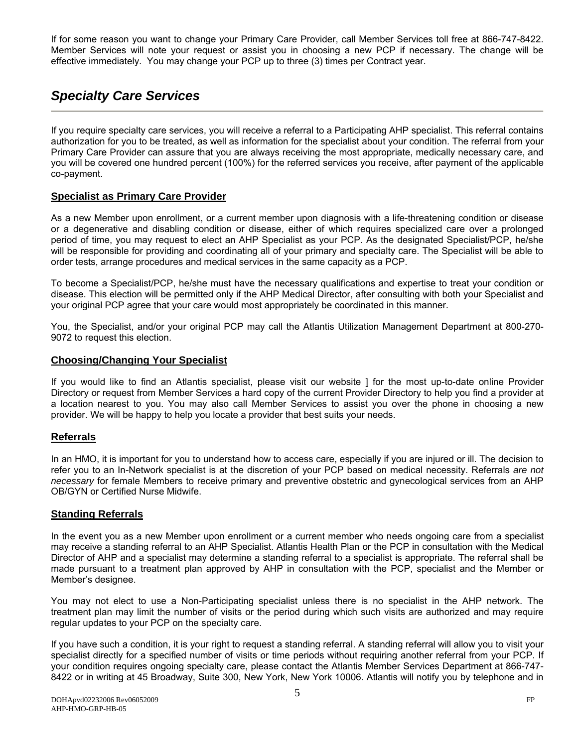If for some reason you want to change your Primary Care Provider, call Member Services toll free at 866-747-8422. Member Services will note your request or assist you in choosing a new PCP if necessary. The change will be effective immediately. You may change your PCP up to three (3) times per Contract year.

## *Specialty Care Services*

If you require specialty care services, you will receive a referral to a Participating AHP specialist. This referral contains authorization for you to be treated, as well as information for the specialist about your condition. The referral from your Primary Care Provider can assure that you are always receiving the most appropriate, medically necessary care, and you will be covered one hundred percent (100%) for the referred services you receive, after payment of the applicable co-payment.

## **Specialist as Primary Care Provider**

As a new Member upon enrollment, or a current member upon diagnosis with a life-threatening condition or disease or a degenerative and disabling condition or disease, either of which requires specialized care over a prolonged period of time, you may request to elect an AHP Specialist as your PCP. As the designated Specialist/PCP, he/she will be responsible for providing and coordinating all of your primary and specialty care. The Specialist will be able to order tests, arrange procedures and medical services in the same capacity as a PCP.

To become a Specialist/PCP, he/she must have the necessary qualifications and expertise to treat your condition or disease. This election will be permitted only if the AHP Medical Director, after consulting with both your Specialist and your original PCP agree that your care would most appropriately be coordinated in this manner.

You, the Specialist, and/or your original PCP may call the Atlantis Utilization Management Department at 800-270- 9072 to request this election.

## **Choosing/Changing Your Specialist**

If you would like to find an Atlantis specialist, please visit our website ] for the most up-to-date online Provider Directory or request from Member Services a hard copy of the current Provider Directory to help you find a provider at a location nearest to you. You may also call Member Services to assist you over the phone in choosing a new provider. We will be happy to help you locate a provider that best suits your needs.

#### **Referrals**

In an HMO, it is important for you to understand how to access care, especially if you are injured or ill. The decision to refer you to an In-Network specialist is at the discretion of your PCP based on medical necessity. Referrals *are not necessary* for female Members to receive primary and preventive obstetric and gynecological services from an AHP OB/GYN or Certified Nurse Midwife.

#### **Standing Referrals**

In the event you as a new Member upon enrollment or a current member who needs ongoing care from a specialist may receive a standing referral to an AHP Specialist. Atlantis Health Plan or the PCP in consultation with the Medical Director of AHP and a specialist may determine a standing referral to a specialist is appropriate. The referral shall be made pursuant to a treatment plan approved by AHP in consultation with the PCP, specialist and the Member or Member's designee.

You may not elect to use a Non-Participating specialist unless there is no specialist in the AHP network. The treatment plan may limit the number of visits or the period during which such visits are authorized and may require regular updates to your PCP on the specialty care.

If you have such a condition, it is your right to request a standing referral. A standing referral will allow you to visit your specialist directly for a specified number of visits or time periods without requiring another referral from your PCP. If your condition requires ongoing specialty care, please contact the Atlantis Member Services Department at 866-747- 8422 or in writing at 45 Broadway, Suite 300, New York, New York 10006. Atlantis will notify you by telephone and in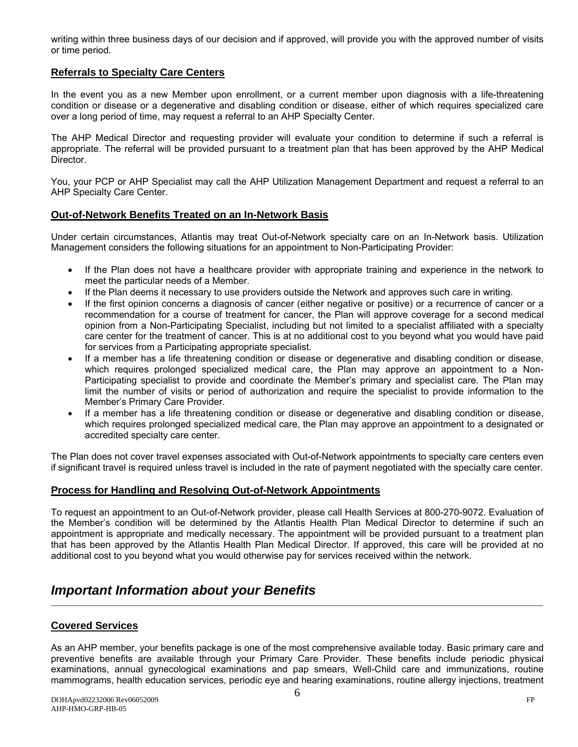writing within three business days of our decision and if approved, will provide you with the approved number of visits or time period.

## **Referrals to Specialty Care Centers**

In the event you as a new Member upon enrollment, or a current member upon diagnosis with a life-threatening condition or disease or a degenerative and disabling condition or disease, either of which requires specialized care over a long period of time, may request a referral to an AHP Specialty Center.

The AHP Medical Director and requesting provider will evaluate your condition to determine if such a referral is appropriate. The referral will be provided pursuant to a treatment plan that has been approved by the AHP Medical Director.

You, your PCP or AHP Specialist may call the AHP Utilization Management Department and request a referral to an AHP Specialty Care Center.

## **Out-of-Network Benefits Treated on an In-Network Basis**

Under certain circumstances, Atlantis may treat Out-of-Network specialty care on an In-Network basis. Utilization Management considers the following situations for an appointment to Non-Participating Provider:

- If the Plan does not have a healthcare provider with appropriate training and experience in the network to meet the particular needs of a Member.
- If the Plan deems it necessary to use providers outside the Network and approves such care in writing.
- If the first opinion concerns a diagnosis of cancer (either negative or positive) or a recurrence of cancer or a recommendation for a course of treatment for cancer, the Plan will approve coverage for a second medical opinion from a Non-Participating Specialist, including but not limited to a specialist affiliated with a specialty care center for the treatment of cancer. This is at no additional cost to you beyond what you would have paid for services from a Participating appropriate specialist.
- If a member has a life threatening condition or disease or degenerative and disabling condition or disease, which requires prolonged specialized medical care, the Plan may approve an appointment to a Non-Participating specialist to provide and coordinate the Member's primary and specialist care. The Plan may limit the number of visits or period of authorization and require the specialist to provide information to the Member's Primary Care Provider.
- If a member has a life threatening condition or disease or degenerative and disabling condition or disease, which requires prolonged specialized medical care, the Plan may approve an appointment to a designated or accredited specialty care center.

The Plan does not cover travel expenses associated with Out-of-Network appointments to specialty care centers even if significant travel is required unless travel is included in the rate of payment negotiated with the specialty care center.

#### **Process for Handling and Resolving Out-of-Network Appointments**

To request an appointment to an Out-of-Network provider, please call Health Services at 800-270-9072. Evaluation of the Member's condition will be determined by the Atlantis Health Plan Medical Director to determine if such an appointment is appropriate and medically necessary. The appointment will be provided pursuant to a treatment plan that has been approved by the Atlantis Health Plan Medical Director. If approved, this care will be provided at no additional cost to you beyond what you would otherwise pay for services received within the network.

## *Important Information about your Benefits*

## **Covered Services**

As an AHP member, your benefits package is one of the most comprehensive available today. Basic primary care and preventive benefits are available through your Primary Care Provider. These benefits include periodic physical examinations, annual gynecological examinations and pap smears, Well-Child care and immunizations, routine mammograms, health education services, periodic eye and hearing examinations, routine allergy injections, treatment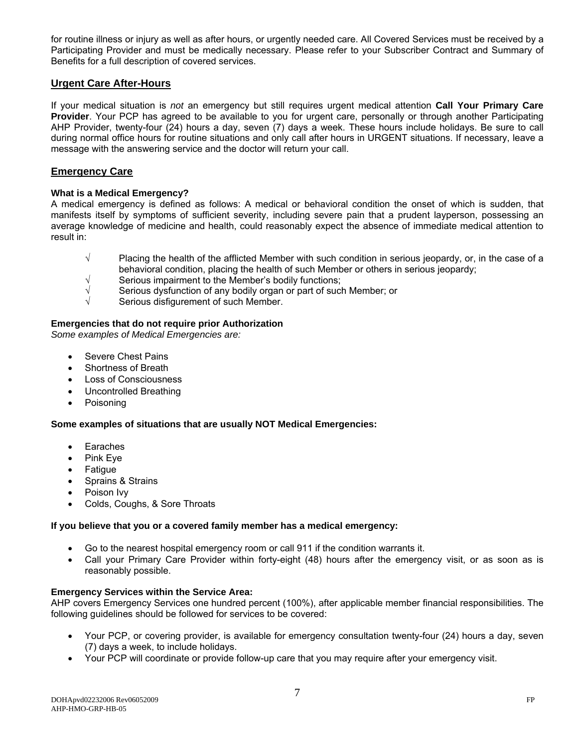for routine illness or injury as well as after hours, or urgently needed care. All Covered Services must be received by a Participating Provider and must be medically necessary. Please refer to your Subscriber Contract and Summary of Benefits for a full description of covered services.

### **Urgent Care After-Hours**

If your medical situation is *not* an emergency but still requires urgent medical attention **Call Your Primary Care Provider**. Your PCP has agreed to be available to you for urgent care, personally or through another Participating AHP Provider, twenty-four (24) hours a day, seven (7) days a week. These hours include holidays. Be sure to call during normal office hours for routine situations and only call after hours in URGENT situations. If necessary, leave a message with the answering service and the doctor will return your call.

## **Emergency Care**

#### **What is a Medical Emergency?**

A medical emergency is defined as follows: A medical or behavioral condition the onset of which is sudden, that manifests itself by symptoms of sufficient severity, including severe pain that a prudent layperson, possessing an average knowledge of medicine and health, could reasonably expect the absence of immediate medical attention to result in:

- $\sqrt{ }$  Placing the health of the afflicted Member with such condition in serious jeopardy, or, in the case of a behavioral condition, placing the health of such Member or others in serious jeopardy;
- √ Serious impairment to the Member's bodily functions;
- √ Serious dysfunction of any bodily organ or part of such Member; or
- Serious disfigurement of such Member.

## **Emergencies that do not require prior Authorization**

*Some examples of Medical Emergencies are:* 

- Severe Chest Pains
- Shortness of Breath
- Loss of Consciousness
- Uncontrolled Breathing
- Poisoning

#### **Some examples of situations that are usually NOT Medical Emergencies:**

- Earaches
- Pink Eye
- Fatigue
- Sprains & Strains
- Poison Ivy
- Colds, Coughs, & Sore Throats

#### **If you believe that you or a covered family member has a medical emergency:**

- Go to the nearest hospital emergency room or call 911 if the condition warrants it.
- Call your Primary Care Provider within forty-eight (48) hours after the emergency visit, or as soon as is reasonably possible.

#### **Emergency Services within the Service Area:**

AHP covers Emergency Services one hundred percent (100%), after applicable member financial responsibilities. The following guidelines should be followed for services to be covered:

- Your PCP, or covering provider, is available for emergency consultation twenty-four (24) hours a day, seven (7) days a week, to include holidays.
- Your PCP will coordinate or provide follow-up care that you may require after your emergency visit.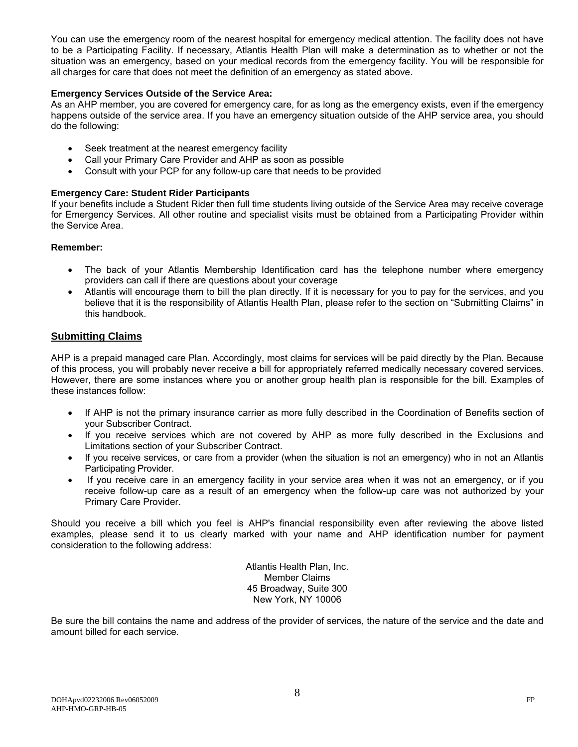You can use the emergency room of the nearest hospital for emergency medical attention. The facility does not have to be a Participating Facility. If necessary, Atlantis Health Plan will make a determination as to whether or not the situation was an emergency, based on your medical records from the emergency facility. You will be responsible for all charges for care that does not meet the definition of an emergency as stated above.

#### **Emergency Services Outside of the Service Area:**

As an AHP member, you are covered for emergency care, for as long as the emergency exists, even if the emergency happens outside of the service area. If you have an emergency situation outside of the AHP service area, you should do the following:

- Seek treatment at the nearest emergency facility
- Call your Primary Care Provider and AHP as soon as possible
- Consult with your PCP for any follow-up care that needs to be provided

#### **Emergency Care: Student Rider Participants**

If your benefits include a Student Rider then full time students living outside of the Service Area may receive coverage for Emergency Services. All other routine and specialist visits must be obtained from a Participating Provider within the Service Area.

#### **Remember:**

- The back of your Atlantis Membership Identification card has the telephone number where emergency providers can call if there are questions about your coverage
- Atlantis will encourage them to bill the plan directly. If it is necessary for you to pay for the services, and you believe that it is the responsibility of Atlantis Health Plan, please refer to the section on "Submitting Claims" in this handbook.

#### **Submitting Claims**

AHP is a prepaid managed care Plan. Accordingly, most claims for services will be paid directly by the Plan. Because of this process, you will probably never receive a bill for appropriately referred medically necessary covered services. However, there are some instances where you or another group health plan is responsible for the bill. Examples of these instances follow:

- If AHP is not the primary insurance carrier as more fully described in the Coordination of Benefits section of your Subscriber Contract.
- If you receive services which are not covered by AHP as more fully described in the Exclusions and Limitations section of your Subscriber Contract.
- If you receive services, or care from a provider (when the situation is not an emergency) who in not an Atlantis Participating Provider.
- If you receive care in an emergency facility in your service area when it was not an emergency, or if you receive follow-up care as a result of an emergency when the follow-up care was not authorized by your Primary Care Provider.

Should you receive a bill which you feel is AHP's financial responsibility even after reviewing the above listed examples, please send it to us clearly marked with your name and AHP identification number for payment consideration to the following address:

> Atlantis Health Plan, Inc. Member Claims 45 Broadway, Suite 300 New York, NY 10006

Be sure the bill contains the name and address of the provider of services, the nature of the service and the date and amount billed for each service.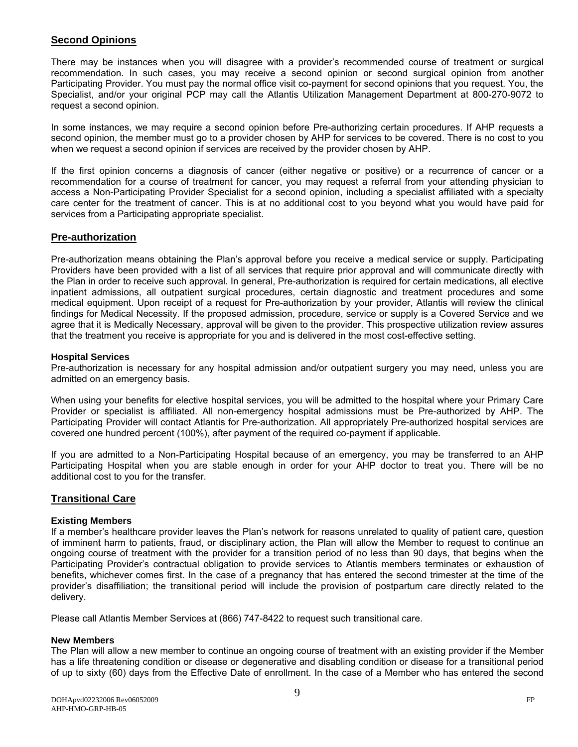## **Second Opinions**

There may be instances when you will disagree with a provider's recommended course of treatment or surgical recommendation. In such cases, you may receive a second opinion or second surgical opinion from another Participating Provider. You must pay the normal office visit co-payment for second opinions that you request. You, the Specialist, and/or your original PCP may call the Atlantis Utilization Management Department at 800-270-9072 to request a second opinion.

In some instances, we may require a second opinion before Pre-authorizing certain procedures. If AHP requests a second opinion, the member must go to a provider chosen by AHP for services to be covered. There is no cost to you when we request a second opinion if services are received by the provider chosen by AHP.

If the first opinion concerns a diagnosis of cancer (either negative or positive) or a recurrence of cancer or a recommendation for a course of treatment for cancer, you may request a referral from your attending physician to access a Non-Participating Provider Specialist for a second opinion, including a specialist affiliated with a specialty care center for the treatment of cancer. This is at no additional cost to you beyond what you would have paid for services from a Participating appropriate specialist.

## **Pre-authorization**

Pre-authorization means obtaining the Plan's approval before you receive a medical service or supply. Participating Providers have been provided with a list of all services that require prior approval and will communicate directly with the Plan in order to receive such approval. In general, Pre-authorization is required for certain medications, all elective inpatient admissions, all outpatient surgical procedures, certain diagnostic and treatment procedures and some medical equipment. Upon receipt of a request for Pre-authorization by your provider, Atlantis will review the clinical findings for Medical Necessity. If the proposed admission, procedure, service or supply is a Covered Service and we agree that it is Medically Necessary, approval will be given to the provider. This prospective utilization review assures that the treatment you receive is appropriate for you and is delivered in the most cost-effective setting.

#### **Hospital Services**

Pre-authorization is necessary for any hospital admission and/or outpatient surgery you may need, unless you are admitted on an emergency basis.

When using your benefits for elective hospital services, you will be admitted to the hospital where your Primary Care Provider or specialist is affiliated. All non-emergency hospital admissions must be Pre-authorized by AHP. The Participating Provider will contact Atlantis for Pre-authorization. All appropriately Pre-authorized hospital services are covered one hundred percent (100%), after payment of the required co-payment if applicable.

If you are admitted to a Non-Participating Hospital because of an emergency, you may be transferred to an AHP Participating Hospital when you are stable enough in order for your AHP doctor to treat you. There will be no additional cost to you for the transfer.

### **Transitional Care**

#### **Existing Members**

If a member's healthcare provider leaves the Plan's network for reasons unrelated to quality of patient care, question of imminent harm to patients, fraud, or disciplinary action, the Plan will allow the Member to request to continue an ongoing course of treatment with the provider for a transition period of no less than 90 days, that begins when the Participating Provider's contractual obligation to provide services to Atlantis members terminates or exhaustion of benefits, whichever comes first. In the case of a pregnancy that has entered the second trimester at the time of the provider's disaffiliation; the transitional period will include the provision of postpartum care directly related to the delivery.

Please call Atlantis Member Services at (866) 747-8422 to request such transitional care.

#### **New Members**

The Plan will allow a new member to continue an ongoing course of treatment with an existing provider if the Member has a life threatening condition or disease or degenerative and disabling condition or disease for a transitional period of up to sixty (60) days from the Effective Date of enrollment. In the case of a Member who has entered the second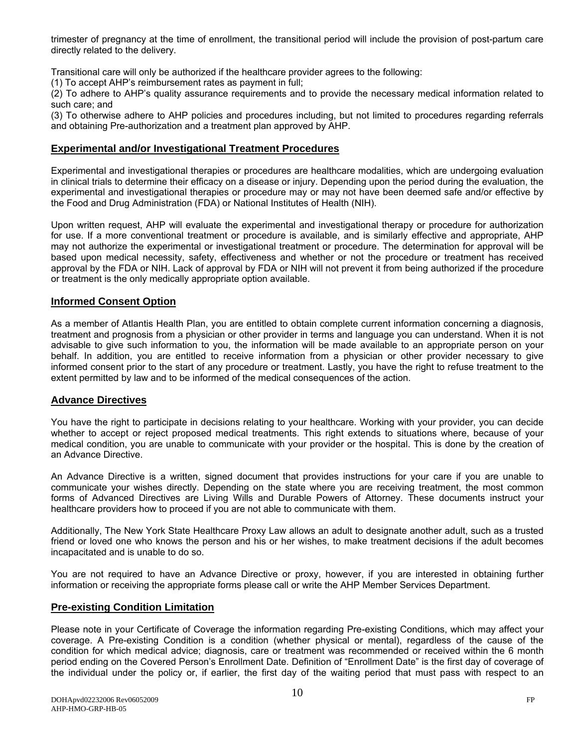trimester of pregnancy at the time of enrollment, the transitional period will include the provision of post-partum care directly related to the delivery.

Transitional care will only be authorized if the healthcare provider agrees to the following:

(1) To accept AHP's reimbursement rates as payment in full;

(2) To adhere to AHP's quality assurance requirements and to provide the necessary medical information related to such care; and

(3) To otherwise adhere to AHP policies and procedures including, but not limited to procedures regarding referrals and obtaining Pre-authorization and a treatment plan approved by AHP.

#### **Experimental and/or Investigational Treatment Procedures**

Experimental and investigational therapies or procedures are healthcare modalities, which are undergoing evaluation in clinical trials to determine their efficacy on a disease or injury. Depending upon the period during the evaluation, the experimental and investigational therapies or procedure may or may not have been deemed safe and/or effective by the Food and Drug Administration (FDA) or National Institutes of Health (NIH).

Upon written request, AHP will evaluate the experimental and investigational therapy or procedure for authorization for use. If a more conventional treatment or procedure is available, and is similarly effective and appropriate, AHP may not authorize the experimental or investigational treatment or procedure. The determination for approval will be based upon medical necessity, safety, effectiveness and whether or not the procedure or treatment has received approval by the FDA or NIH. Lack of approval by FDA or NIH will not prevent it from being authorized if the procedure or treatment is the only medically appropriate option available.

#### **Informed Consent Option**

As a member of Atlantis Health Plan, you are entitled to obtain complete current information concerning a diagnosis, treatment and prognosis from a physician or other provider in terms and language you can understand. When it is not advisable to give such information to you, the information will be made available to an appropriate person on your behalf. In addition, you are entitled to receive information from a physician or other provider necessary to give informed consent prior to the start of any procedure or treatment. Lastly, you have the right to refuse treatment to the extent permitted by law and to be informed of the medical consequences of the action.

#### **Advance Directives**

You have the right to participate in decisions relating to your healthcare. Working with your provider, you can decide whether to accept or reject proposed medical treatments. This right extends to situations where, because of your medical condition, you are unable to communicate with your provider or the hospital. This is done by the creation of an Advance Directive.

An Advance Directive is a written, signed document that provides instructions for your care if you are unable to communicate your wishes directly. Depending on the state where you are receiving treatment, the most common forms of Advanced Directives are Living Wills and Durable Powers of Attorney. These documents instruct your healthcare providers how to proceed if you are not able to communicate with them.

Additionally, The New York State Healthcare Proxy Law allows an adult to designate another adult, such as a trusted friend or loved one who knows the person and his or her wishes, to make treatment decisions if the adult becomes incapacitated and is unable to do so.

You are not required to have an Advance Directive or proxy, however, if you are interested in obtaining further information or receiving the appropriate forms please call or write the AHP Member Services Department.

#### **Pre-existing Condition Limitation**

Please note in your Certificate of Coverage the information regarding Pre-existing Conditions, which may affect your coverage. A Pre-existing Condition is a condition (whether physical or mental), regardless of the cause of the condition for which medical advice; diagnosis, care or treatment was recommended or received within the 6 month period ending on the Covered Person's Enrollment Date. Definition of "Enrollment Date" is the first day of coverage of the individual under the policy or, if earlier, the first day of the waiting period that must pass with respect to an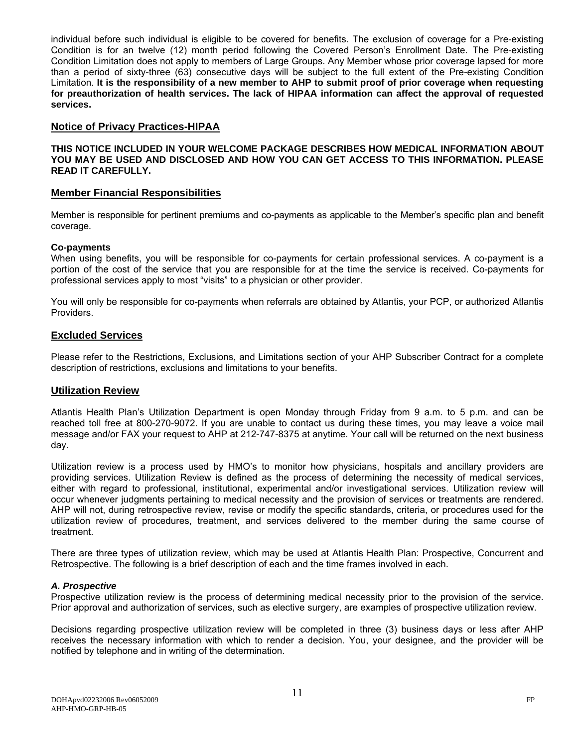individual before such individual is eligible to be covered for benefits. The exclusion of coverage for a Pre-existing Condition is for an twelve (12) month period following the Covered Person's Enrollment Date. The Pre-existing Condition Limitation does not apply to members of Large Groups. Any Member whose prior coverage lapsed for more than a period of sixty-three (63) consecutive days will be subject to the full extent of the Pre-existing Condition Limitation. **It is the responsibility of a new member to AHP to submit proof of prior coverage when requesting for preauthorization of health services. The lack of HIPAA information can affect the approval of requested services.** 

### **Notice of Privacy Practices-HIPAA**

#### **THIS NOTICE INCLUDED IN YOUR WELCOME PACKAGE DESCRIBES HOW MEDICAL INFORMATION ABOUT YOU MAY BE USED AND DISCLOSED AND HOW YOU CAN GET ACCESS TO THIS INFORMATION. PLEASE READ IT CAREFULLY.**

#### **Member Financial Responsibilities**

Member is responsible for pertinent premiums and co-payments as applicable to the Member's specific plan and benefit coverage.

#### **Co-payments**

When using benefits, you will be responsible for co-payments for certain professional services. A co-payment is a portion of the cost of the service that you are responsible for at the time the service is received. Co-payments for professional services apply to most "visits" to a physician or other provider.

You will only be responsible for co-payments when referrals are obtained by Atlantis, your PCP, or authorized Atlantis Providers.

#### **Excluded Services**

Please refer to the Restrictions, Exclusions, and Limitations section of your AHP Subscriber Contract for a complete description of restrictions, exclusions and limitations to your benefits.

#### **Utilization Review**

Atlantis Health Plan's Utilization Department is open Monday through Friday from 9 a.m. to 5 p.m. and can be reached toll free at 800-270-9072. If you are unable to contact us during these times, you may leave a voice mail message and/or FAX your request to AHP at 212-747-8375 at anytime. Your call will be returned on the next business day.

Utilization review is a process used by HMO's to monitor how physicians, hospitals and ancillary providers are providing services. Utilization Review is defined as the process of determining the necessity of medical services, either with regard to professional, institutional, experimental and/or investigational services. Utilization review will occur whenever judgments pertaining to medical necessity and the provision of services or treatments are rendered. AHP will not, during retrospective review, revise or modify the specific standards, criteria, or procedures used for the utilization review of procedures, treatment, and services delivered to the member during the same course of treatment.

There are three types of utilization review, which may be used at Atlantis Health Plan: Prospective, Concurrent and Retrospective. The following is a brief description of each and the time frames involved in each.

#### *A. Prospective*

Prospective utilization review is the process of determining medical necessity prior to the provision of the service. Prior approval and authorization of services, such as elective surgery, are examples of prospective utilization review.

Decisions regarding prospective utilization review will be completed in three (3) business days or less after AHP receives the necessary information with which to render a decision. You, your designee, and the provider will be notified by telephone and in writing of the determination.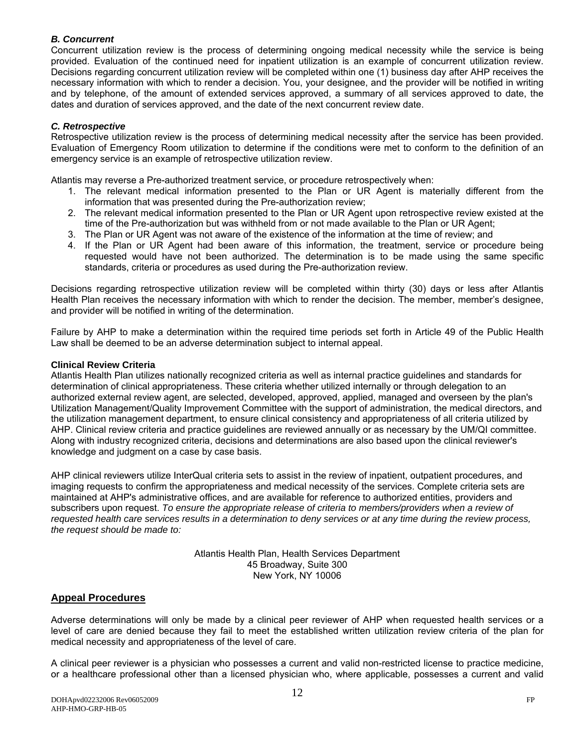### *B. Concurrent*

Concurrent utilization review is the process of determining ongoing medical necessity while the service is being provided. Evaluation of the continued need for inpatient utilization is an example of concurrent utilization review. Decisions regarding concurrent utilization review will be completed within one (1) business day after AHP receives the necessary information with which to render a decision. You, your designee, and the provider will be notified in writing and by telephone, of the amount of extended services approved, a summary of all services approved to date, the dates and duration of services approved, and the date of the next concurrent review date.

### *C. Retrospective*

Retrospective utilization review is the process of determining medical necessity after the service has been provided. Evaluation of Emergency Room utilization to determine if the conditions were met to conform to the definition of an emergency service is an example of retrospective utilization review.

Atlantis may reverse a Pre-authorized treatment service, or procedure retrospectively when:

- 1. The relevant medical information presented to the Plan or UR Agent is materially different from the information that was presented during the Pre-authorization review;
- 2. The relevant medical information presented to the Plan or UR Agent upon retrospective review existed at the time of the Pre-authorization but was withheld from or not made available to the Plan or UR Agent;
- 3. The Plan or UR Agent was not aware of the existence of the information at the time of review; and
- 4. If the Plan or UR Agent had been aware of this information, the treatment, service or procedure being requested would have not been authorized. The determination is to be made using the same specific standards, criteria or procedures as used during the Pre-authorization review.

Decisions regarding retrospective utilization review will be completed within thirty (30) days or less after Atlantis Health Plan receives the necessary information with which to render the decision. The member, member's designee, and provider will be notified in writing of the determination.

Failure by AHP to make a determination within the required time periods set forth in Article 49 of the Public Health Law shall be deemed to be an adverse determination subject to internal appeal.

#### **Clinical Review Criteria**

Atlantis Health Plan utilizes nationally recognized criteria as well as internal practice guidelines and standards for determination of clinical appropriateness. These criteria whether utilized internally or through delegation to an authorized external review agent, are selected, developed, approved, applied, managed and overseen by the plan's Utilization Management/Quality Improvement Committee with the support of administration, the medical directors, and the utilization management department, to ensure clinical consistency and appropriateness of all criteria utilized by AHP. Clinical review criteria and practice guidelines are reviewed annually or as necessary by the UM/QI committee. Along with industry recognized criteria, decisions and determinations are also based upon the clinical reviewer's knowledge and judgment on a case by case basis.

AHP clinical reviewers utilize InterQual criteria sets to assist in the review of inpatient, outpatient procedures, and imaging requests to confirm the appropriateness and medical necessity of the services. Complete criteria sets are maintained at AHP's administrative offices, and are available for reference to authorized entities, providers and subscribers upon request. *To ensure the appropriate release of criteria to members/providers when a review of requested health care services results in a determination to deny services or at any time during the review process, the request should be made to:* 

> Atlantis Health Plan, Health Services Department 45 Broadway, Suite 300 New York, NY 10006

## **Appeal Procedures**

Adverse determinations will only be made by a clinical peer reviewer of AHP when requested health services or a level of care are denied because they fail to meet the established written utilization review criteria of the plan for medical necessity and appropriateness of the level of care.

A clinical peer reviewer is a physician who possesses a current and valid non-restricted license to practice medicine, or a healthcare professional other than a licensed physician who, where applicable, possesses a current and valid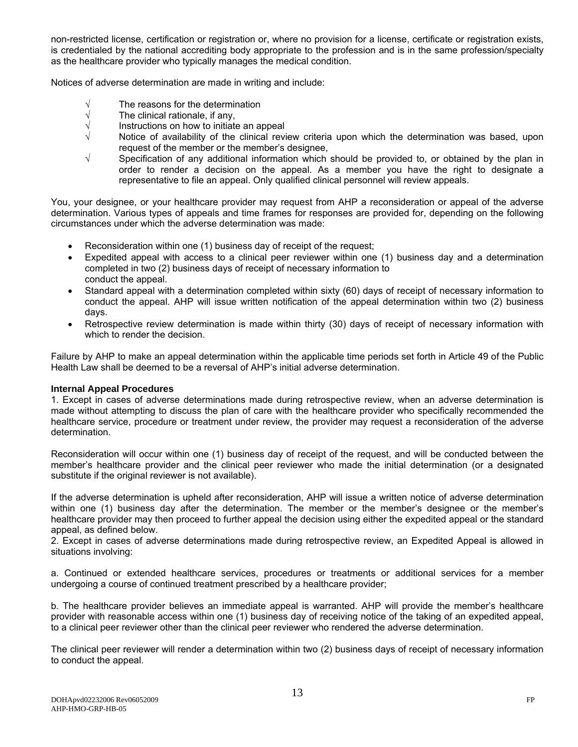non-restricted license, certification or registration or, where no provision for a license, certificate or registration exists, is credentialed by the national accrediting body appropriate to the profession and is in the same profession/specialty as the healthcare provider who typically manages the medical condition.

Notices of adverse determination are made in writing and include:

- $\sqrt{ }$  The reasons for the determination
- $\sqrt{\frac{1}{1}}$  The clinical rationale, if any,<br>
Instructions on how to initiate
- √ Instructions on how to initiate an appeal
- Notice of availability of the clinical review criteria upon which the determination was based, upon request of the member or the member's designee,
- √ Specification of any additional information which should be provided to, or obtained by the plan in order to render a decision on the appeal. As a member you have the right to designate a representative to file an appeal. Only qualified clinical personnel will review appeals.

You, your designee, or your healthcare provider may request from AHP a reconsideration or appeal of the adverse determination. Various types of appeals and time frames for responses are provided for, depending on the following circumstances under which the adverse determination was made:

- Reconsideration within one (1) business day of receipt of the request;
- Expedited appeal with access to a clinical peer reviewer within one (1) business day and a determination completed in two (2) business days of receipt of necessary information to conduct the appeal.
- Standard appeal with a determination completed within sixty (60) days of receipt of necessary information to conduct the appeal. AHP will issue written notification of the appeal determination within two (2) business days.
- Retrospective review determination is made within thirty (30) days of receipt of necessary information with which to render the decision.

Failure by AHP to make an appeal determination within the applicable time periods set forth in Article 49 of the Public Health Law shall be deemed to be a reversal of AHP's initial adverse determination.

#### **Internal Appeal Procedures**

1. Except in cases of adverse determinations made during retrospective review, when an adverse determination is made without attempting to discuss the plan of care with the healthcare provider who specifically recommended the healthcare service, procedure or treatment under review, the provider may request a reconsideration of the adverse determination.

Reconsideration will occur within one (1) business day of receipt of the request, and will be conducted between the member's healthcare provider and the clinical peer reviewer who made the initial determination (or a designated substitute if the original reviewer is not available).

If the adverse determination is upheld after reconsideration, AHP will issue a written notice of adverse determination within one (1) business day after the determination. The member or the member's designee or the member's healthcare provider may then proceed to further appeal the decision using either the expedited appeal or the standard appeal, as defined below.

2. Except in cases of adverse determinations made during retrospective review, an Expedited Appeal is allowed in situations involving:

a. Continued or extended healthcare services, procedures or treatments or additional services for a member undergoing a course of continued treatment prescribed by a healthcare provider;

b. The healthcare provider believes an immediate appeal is warranted. AHP will provide the member's healthcare provider with reasonable access within one (1) business day of receiving notice of the taking of an expedited appeal, to a clinical peer reviewer other than the clinical peer reviewer who rendered the adverse determination.

The clinical peer reviewer will render a determination within two (2) business days of receipt of necessary information to conduct the appeal.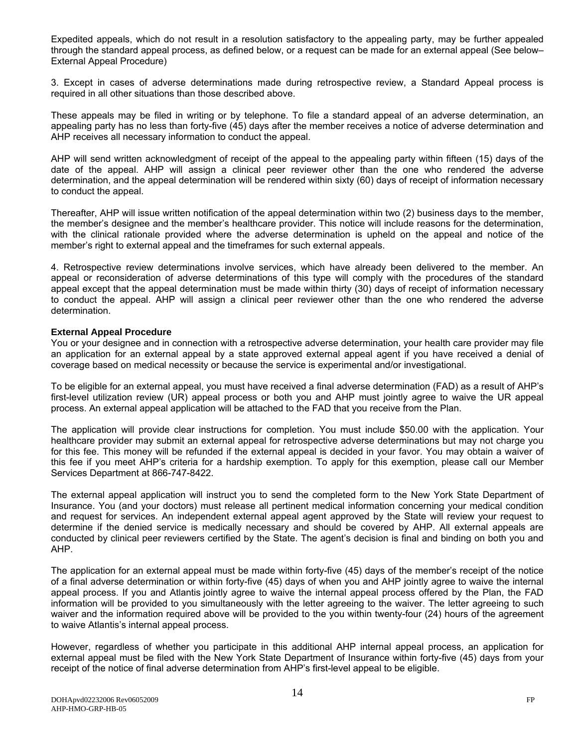Expedited appeals, which do not result in a resolution satisfactory to the appealing party, may be further appealed through the standard appeal process, as defined below, or a request can be made for an external appeal (See below– External Appeal Procedure)

3. Except in cases of adverse determinations made during retrospective review, a Standard Appeal process is required in all other situations than those described above.

These appeals may be filed in writing or by telephone. To file a standard appeal of an adverse determination, an appealing party has no less than forty-five (45) days after the member receives a notice of adverse determination and AHP receives all necessary information to conduct the appeal.

AHP will send written acknowledgment of receipt of the appeal to the appealing party within fifteen (15) days of the date of the appeal. AHP will assign a clinical peer reviewer other than the one who rendered the adverse determination, and the appeal determination will be rendered within sixty (60) days of receipt of information necessary to conduct the appeal.

Thereafter, AHP will issue written notification of the appeal determination within two (2) business days to the member, the member's designee and the member's healthcare provider. This notice will include reasons for the determination, with the clinical rationale provided where the adverse determination is upheld on the appeal and notice of the member's right to external appeal and the timeframes for such external appeals.

4. Retrospective review determinations involve services, which have already been delivered to the member. An appeal or reconsideration of adverse determinations of this type will comply with the procedures of the standard appeal except that the appeal determination must be made within thirty (30) days of receipt of information necessary to conduct the appeal. AHP will assign a clinical peer reviewer other than the one who rendered the adverse determination.

#### **External Appeal Procedure**

You or your designee and in connection with a retrospective adverse determination, your health care provider may file an application for an external appeal by a state approved external appeal agent if you have received a denial of coverage based on medical necessity or because the service is experimental and/or investigational.

To be eligible for an external appeal, you must have received a final adverse determination (FAD) as a result of AHP's first-level utilization review (UR) appeal process or both you and AHP must jointly agree to waive the UR appeal process. An external appeal application will be attached to the FAD that you receive from the Plan.

The application will provide clear instructions for completion. You must include \$50.00 with the application. Your healthcare provider may submit an external appeal for retrospective adverse determinations but may not charge you for this fee. This money will be refunded if the external appeal is decided in your favor. You may obtain a waiver of this fee if you meet AHP's criteria for a hardship exemption. To apply for this exemption, please call our Member Services Department at 866-747-8422.

The external appeal application will instruct you to send the completed form to the New York State Department of Insurance. You (and your doctors) must release all pertinent medical information concerning your medical condition and request for services. An independent external appeal agent approved by the State will review your request to determine if the denied service is medically necessary and should be covered by AHP. All external appeals are conducted by clinical peer reviewers certified by the State. The agent's decision is final and binding on both you and AHP.

The application for an external appeal must be made within forty-five (45) days of the member's receipt of the notice of a final adverse determination or within forty-five (45) days of when you and AHP jointly agree to waive the internal appeal process. If you and Atlantis jointly agree to waive the internal appeal process offered by the Plan, the FAD information will be provided to you simultaneously with the letter agreeing to the waiver. The letter agreeing to such waiver and the information required above will be provided to the you within twenty-four (24) hours of the agreement to waive Atlantis's internal appeal process.

However, regardless of whether you participate in this additional AHP internal appeal process, an application for external appeal must be filed with the New York State Department of Insurance within forty-five (45) days from your receipt of the notice of final adverse determination from AHP's first-level appeal to be eligible.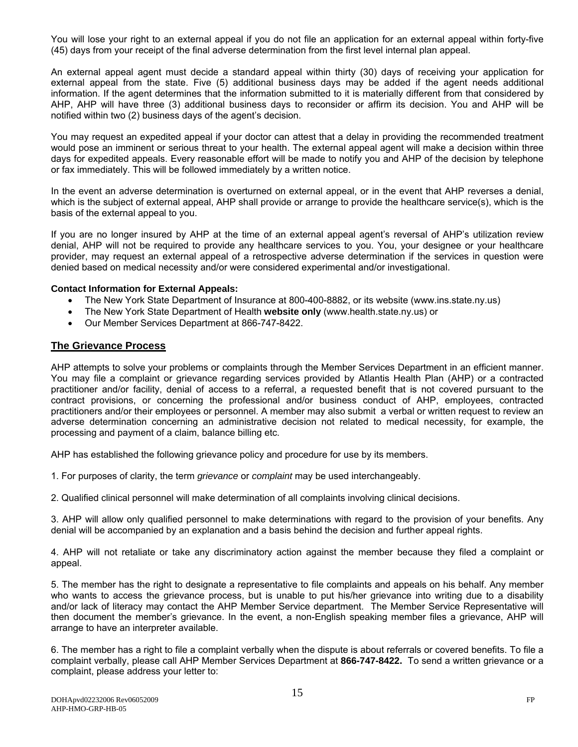You will lose your right to an external appeal if you do not file an application for an external appeal within forty-five (45) days from your receipt of the final adverse determination from the first level internal plan appeal.

An external appeal agent must decide a standard appeal within thirty (30) days of receiving your application for external appeal from the state. Five (5) additional business days may be added if the agent needs additional information. If the agent determines that the information submitted to it is materially different from that considered by AHP, AHP will have three (3) additional business days to reconsider or affirm its decision. You and AHP will be notified within two (2) business days of the agent's decision.

You may request an expedited appeal if your doctor can attest that a delay in providing the recommended treatment would pose an imminent or serious threat to your health. The external appeal agent will make a decision within three days for expedited appeals. Every reasonable effort will be made to notify you and AHP of the decision by telephone or fax immediately. This will be followed immediately by a written notice.

In the event an adverse determination is overturned on external appeal, or in the event that AHP reverses a denial, which is the subject of external appeal, AHP shall provide or arrange to provide the healthcare service(s), which is the basis of the external appeal to you.

If you are no longer insured by AHP at the time of an external appeal agent's reversal of AHP's utilization review denial, AHP will not be required to provide any healthcare services to you. You, your designee or your healthcare provider, may request an external appeal of a retrospective adverse determination if the services in question were denied based on medical necessity and/or were considered experimental and/or investigational.

#### **Contact Information for External Appeals:**

- The New York State Department of Insurance at 800-400-8882, or its website (www.ins.state.ny.us)
- The New York State Department of Health **website only** (www.health.state.ny.us) or
- Our Member Services Department at 866-747-8422.

#### **The Grievance Process**

AHP attempts to solve your problems or complaints through the Member Services Department in an efficient manner. You may file a complaint or grievance regarding services provided by Atlantis Health Plan (AHP) or a contracted practitioner and/or facility, denial of access to a referral, a requested benefit that is not covered pursuant to the contract provisions, or concerning the professional and/or business conduct of AHP, employees, contracted practitioners and/or their employees or personnel. A member may also submit a verbal or written request to review an adverse determination concerning an administrative decision not related to medical necessity, for example, the processing and payment of a claim, balance billing etc.

AHP has established the following grievance policy and procedure for use by its members.

1. For purposes of clarity, the term *grievance* or *complaint* may be used interchangeably.

2. Qualified clinical personnel will make determination of all complaints involving clinical decisions.

3. AHP will allow only qualified personnel to make determinations with regard to the provision of your benefits. Any denial will be accompanied by an explanation and a basis behind the decision and further appeal rights.

4. AHP will not retaliate or take any discriminatory action against the member because they filed a complaint or appeal.

5. The member has the right to designate a representative to file complaints and appeals on his behalf. Any member who wants to access the grievance process, but is unable to put his/her grievance into writing due to a disability and/or lack of literacy may contact the AHP Member Service department. The Member Service Representative will then document the member's grievance. In the event, a non-English speaking member files a grievance, AHP will arrange to have an interpreter available.

6. The member has a right to file a complaint verbally when the dispute is about referrals or covered benefits. To file a complaint verbally, please call AHP Member Services Department at **866-747-8422.** To send a written grievance or a complaint, please address your letter to: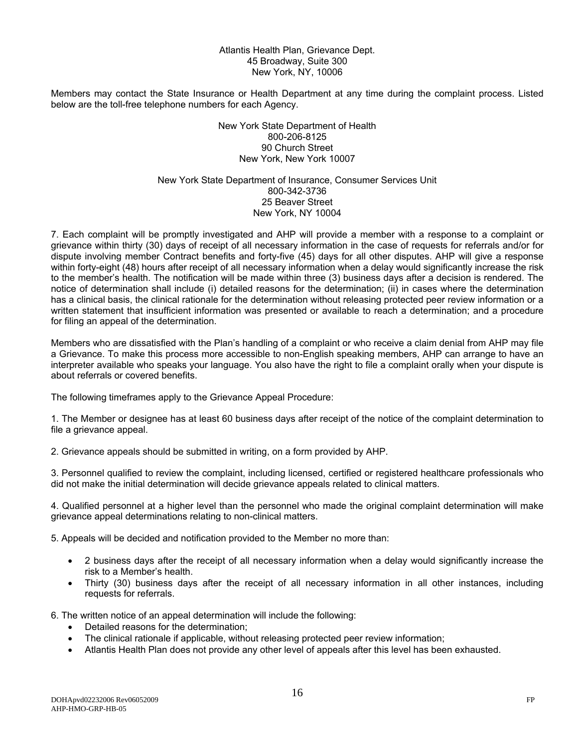#### Atlantis Health Plan, Grievance Dept. 45 Broadway, Suite 300 New York, NY, 10006

Members may contact the State Insurance or Health Department at any time during the complaint process. Listed below are the toll-free telephone numbers for each Agency.

#### New York State Department of Health 800-206-8125 90 Church Street New York, New York 10007

#### New York State Department of Insurance, Consumer Services Unit 800-342-3736 25 Beaver Street New York, NY 10004

7. Each complaint will be promptly investigated and AHP will provide a member with a response to a complaint or grievance within thirty (30) days of receipt of all necessary information in the case of requests for referrals and/or for dispute involving member Contract benefits and forty-five (45) days for all other disputes. AHP will give a response within forty-eight (48) hours after receipt of all necessary information when a delay would significantly increase the risk to the member's health. The notification will be made within three (3) business days after a decision is rendered. The notice of determination shall include (i) detailed reasons for the determination; (ii) in cases where the determination has a clinical basis, the clinical rationale for the determination without releasing protected peer review information or a written statement that insufficient information was presented or available to reach a determination; and a procedure for filing an appeal of the determination.

Members who are dissatisfied with the Plan's handling of a complaint or who receive a claim denial from AHP may file a Grievance. To make this process more accessible to non-English speaking members, AHP can arrange to have an interpreter available who speaks your language. You also have the right to file a complaint orally when your dispute is about referrals or covered benefits.

The following timeframes apply to the Grievance Appeal Procedure:

1. The Member or designee has at least 60 business days after receipt of the notice of the complaint determination to file a grievance appeal.

2. Grievance appeals should be submitted in writing, on a form provided by AHP.

3. Personnel qualified to review the complaint, including licensed, certified or registered healthcare professionals who did not make the initial determination will decide grievance appeals related to clinical matters.

4. Qualified personnel at a higher level than the personnel who made the original complaint determination will make grievance appeal determinations relating to non-clinical matters.

5. Appeals will be decided and notification provided to the Member no more than:

- 2 business days after the receipt of all necessary information when a delay would significantly increase the risk to a Member's health.
- Thirty (30) business days after the receipt of all necessary information in all other instances, including requests for referrals.

6. The written notice of an appeal determination will include the following:

- Detailed reasons for the determination;
- The clinical rationale if applicable, without releasing protected peer review information;
- Atlantis Health Plan does not provide any other level of appeals after this level has been exhausted.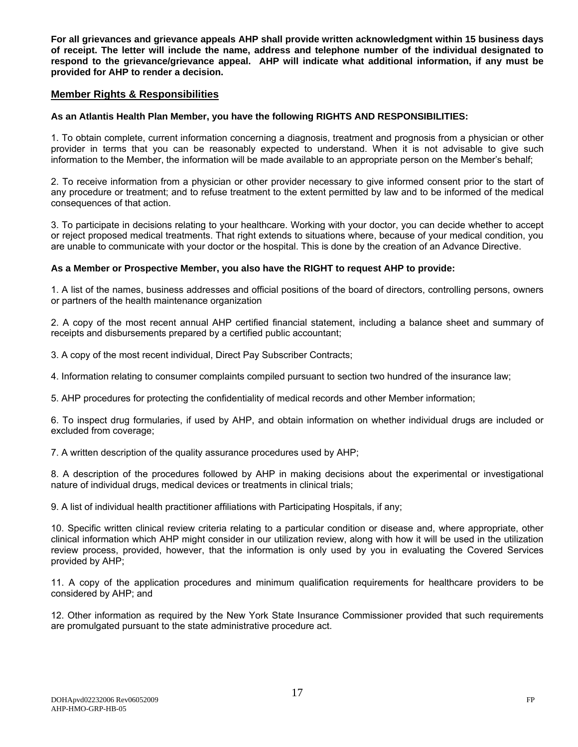**For all grievances and grievance appeals AHP shall provide written acknowledgment within 15 business days of receipt. The letter will include the name, address and telephone number of the individual designated to respond to the grievance/grievance appeal. AHP will indicate what additional information, if any must be provided for AHP to render a decision.** 

#### **Member Rights & Responsibilities**

#### **As an Atlantis Health Plan Member, you have the following RIGHTS AND RESPONSIBILITIES:**

1. To obtain complete, current information concerning a diagnosis, treatment and prognosis from a physician or other provider in terms that you can be reasonably expected to understand. When it is not advisable to give such information to the Member, the information will be made available to an appropriate person on the Member's behalf;

2. To receive information from a physician or other provider necessary to give informed consent prior to the start of any procedure or treatment; and to refuse treatment to the extent permitted by law and to be informed of the medical consequences of that action.

3. To participate in decisions relating to your healthcare. Working with your doctor, you can decide whether to accept or reject proposed medical treatments. That right extends to situations where, because of your medical condition, you are unable to communicate with your doctor or the hospital. This is done by the creation of an Advance Directive.

#### **As a Member or Prospective Member, you also have the RIGHT to request AHP to provide:**

1. A list of the names, business addresses and official positions of the board of directors, controlling persons, owners or partners of the health maintenance organization

2. A copy of the most recent annual AHP certified financial statement, including a balance sheet and summary of receipts and disbursements prepared by a certified public accountant;

3. A copy of the most recent individual, Direct Pay Subscriber Contracts;

4. Information relating to consumer complaints compiled pursuant to section two hundred of the insurance law;

5. AHP procedures for protecting the confidentiality of medical records and other Member information;

6. To inspect drug formularies, if used by AHP, and obtain information on whether individual drugs are included or excluded from coverage;

7. A written description of the quality assurance procedures used by AHP;

8. A description of the procedures followed by AHP in making decisions about the experimental or investigational nature of individual drugs, medical devices or treatments in clinical trials;

9. A list of individual health practitioner affiliations with Participating Hospitals, if any;

10. Specific written clinical review criteria relating to a particular condition or disease and, where appropriate, other clinical information which AHP might consider in our utilization review, along with how it will be used in the utilization review process, provided, however, that the information is only used by you in evaluating the Covered Services provided by AHP;

11. A copy of the application procedures and minimum qualification requirements for healthcare providers to be considered by AHP; and

12. Other information as required by the New York State Insurance Commissioner provided that such requirements are promulgated pursuant to the state administrative procedure act.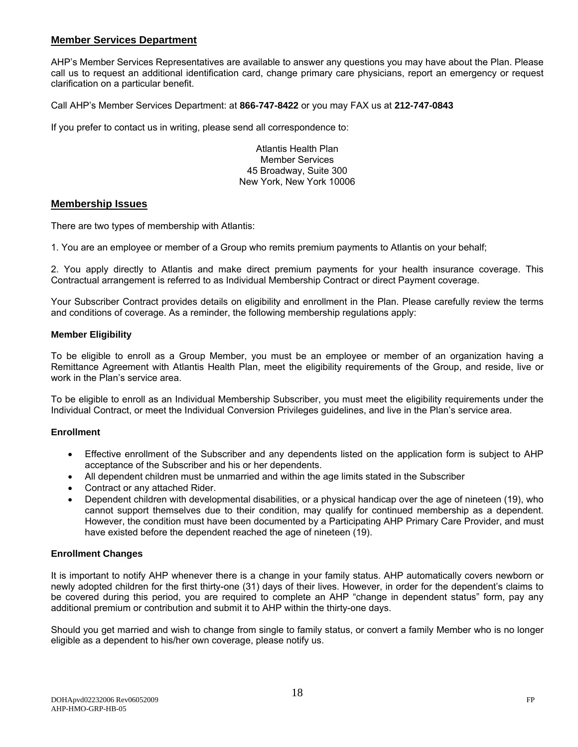#### **Member Services Department**

AHP's Member Services Representatives are available to answer any questions you may have about the Plan. Please call us to request an additional identification card, change primary care physicians, report an emergency or request clarification on a particular benefit.

Call AHP's Member Services Department: at **866-747-8422** or you may FAX us at **212-747-0843** 

If you prefer to contact us in writing, please send all correspondence to:

Atlantis Health Plan Member Services 45 Broadway, Suite 300 New York, New York 10006

#### **Membership Issues**

There are two types of membership with Atlantis:

1. You are an employee or member of a Group who remits premium payments to Atlantis on your behalf;

2. You apply directly to Atlantis and make direct premium payments for your health insurance coverage. This Contractual arrangement is referred to as Individual Membership Contract or direct Payment coverage.

Your Subscriber Contract provides details on eligibility and enrollment in the Plan. Please carefully review the terms and conditions of coverage. As a reminder, the following membership regulations apply:

#### **Member Eligibility**

To be eligible to enroll as a Group Member, you must be an employee or member of an organization having a Remittance Agreement with Atlantis Health Plan, meet the eligibility requirements of the Group, and reside, live or work in the Plan's service area.

To be eligible to enroll as an Individual Membership Subscriber, you must meet the eligibility requirements under the Individual Contract, or meet the Individual Conversion Privileges guidelines, and live in the Plan's service area.

#### **Enrollment**

- Effective enrollment of the Subscriber and any dependents listed on the application form is subject to AHP acceptance of the Subscriber and his or her dependents.
- All dependent children must be unmarried and within the age limits stated in the Subscriber
- Contract or any attached Rider.
- Dependent children with developmental disabilities, or a physical handicap over the age of nineteen (19), who cannot support themselves due to their condition, may qualify for continued membership as a dependent. However, the condition must have been documented by a Participating AHP Primary Care Provider, and must have existed before the dependent reached the age of nineteen (19).

#### **Enrollment Changes**

It is important to notify AHP whenever there is a change in your family status. AHP automatically covers newborn or newly adopted children for the first thirty-one (31) days of their lives. However, in order for the dependent's claims to be covered during this period, you are required to complete an AHP "change in dependent status" form, pay any additional premium or contribution and submit it to AHP within the thirty-one days.

Should you get married and wish to change from single to family status, or convert a family Member who is no longer eligible as a dependent to his/her own coverage, please notify us.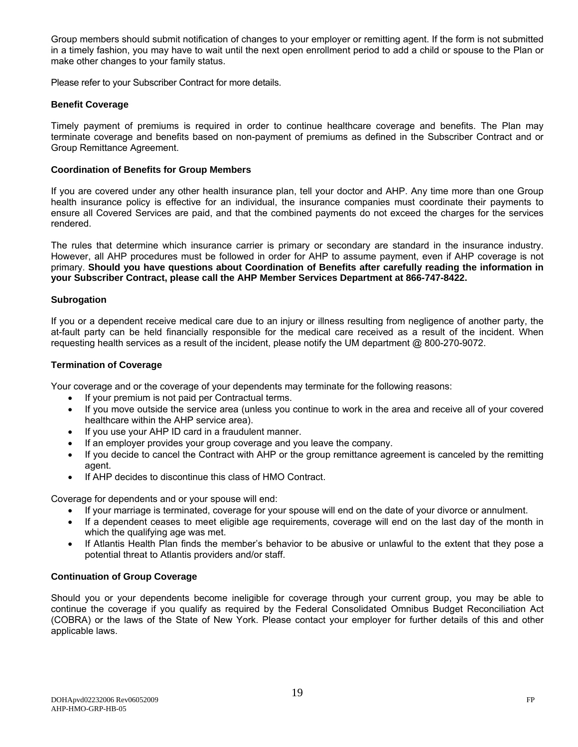Group members should submit notification of changes to your employer or remitting agent. If the form is not submitted in a timely fashion, you may have to wait until the next open enrollment period to add a child or spouse to the Plan or make other changes to your family status.

Please refer to your Subscriber Contract for more details.

#### **Benefit Coverage**

Timely payment of premiums is required in order to continue healthcare coverage and benefits. The Plan may terminate coverage and benefits based on non-payment of premiums as defined in the Subscriber Contract and or Group Remittance Agreement.

#### **Coordination of Benefits for Group Members**

If you are covered under any other health insurance plan, tell your doctor and AHP. Any time more than one Group health insurance policy is effective for an individual, the insurance companies must coordinate their payments to ensure all Covered Services are paid, and that the combined payments do not exceed the charges for the services rendered.

The rules that determine which insurance carrier is primary or secondary are standard in the insurance industry. However, all AHP procedures must be followed in order for AHP to assume payment, even if AHP coverage is not primary. **Should you have questions about Coordination of Benefits after carefully reading the information in your Subscriber Contract, please call the AHP Member Services Department at 866-747-8422.** 

#### **Subrogation**

If you or a dependent receive medical care due to an injury or illness resulting from negligence of another party, the at-fault party can be held financially responsible for the medical care received as a result of the incident. When requesting health services as a result of the incident, please notify the UM department @ 800-270-9072.

#### **Termination of Coverage**

Your coverage and or the coverage of your dependents may terminate for the following reasons:

- If your premium is not paid per Contractual terms.
- If you move outside the service area (unless you continue to work in the area and receive all of your covered healthcare within the AHP service area).
- If you use your AHP ID card in a fraudulent manner.
- If an employer provides your group coverage and you leave the company.
- If you decide to cancel the Contract with AHP or the group remittance agreement is canceled by the remitting agent.
- If AHP decides to discontinue this class of HMO Contract.

Coverage for dependents and or your spouse will end:

- If your marriage is terminated, coverage for your spouse will end on the date of your divorce or annulment.
- If a dependent ceases to meet eligible age requirements, coverage will end on the last day of the month in which the qualifying age was met.
- If Atlantis Health Plan finds the member's behavior to be abusive or unlawful to the extent that they pose a potential threat to Atlantis providers and/or staff.

#### **Continuation of Group Coverage**

Should you or your dependents become ineligible for coverage through your current group, you may be able to continue the coverage if you qualify as required by the Federal Consolidated Omnibus Budget Reconciliation Act (COBRA) or the laws of the State of New York. Please contact your employer for further details of this and other applicable laws.